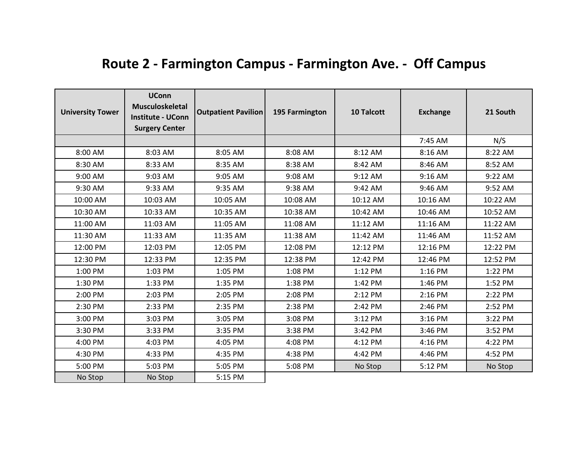| <b>University Tower</b> | <b>UConn</b><br><b>Musculoskeletal</b><br><b>Institute - UConn</b><br><b>Surgery Center</b> | <b>Outpatient Pavilion</b> | 195 Farmington | 10 Talcott | <b>Exchange</b> | 21 South |
|-------------------------|---------------------------------------------------------------------------------------------|----------------------------|----------------|------------|-----------------|----------|
|                         |                                                                                             |                            |                |            | 7:45 AM         | N/S      |
| 8:00 AM                 | 8:03 AM                                                                                     | 8:05 AM                    | 8:08 AM        | 8:12 AM    | 8:16 AM         | 8:22 AM  |
| 8:30 AM                 | 8:33 AM                                                                                     | 8:35 AM                    | 8:38 AM        | 8:42 AM    | 8:46 AM         | 8:52 AM  |
| 9:00 AM                 | 9:03 AM                                                                                     | 9:05 AM                    | 9:08 AM        | 9:12 AM    | 9:16 AM         | 9:22 AM  |
| 9:30 AM                 | 9:33 AM                                                                                     | 9:35 AM                    | 9:38 AM        | 9:42 AM    | 9:46 AM         | 9:52 AM  |
| 10:00 AM                | 10:03 AM                                                                                    | 10:05 AM                   | 10:08 AM       | 10:12 AM   | 10:16 AM        | 10:22 AM |
| 10:30 AM                | 10:33 AM                                                                                    | 10:35 AM                   | 10:38 AM       | 10:42 AM   | 10:46 AM        | 10:52 AM |
| 11:00 AM                | 11:03 AM                                                                                    | 11:05 AM                   | 11:08 AM       | 11:12 AM   | 11:16 AM        | 11:22 AM |
| 11:30 AM                | 11:33 AM                                                                                    | 11:35 AM                   | 11:38 AM       | 11:42 AM   | 11:46 AM        | 11:52 AM |
| 12:00 PM                | 12:03 PM                                                                                    | 12:05 PM                   | 12:08 PM       | 12:12 PM   | 12:16 PM        | 12:22 PM |
| 12:30 PM                | 12:33 PM                                                                                    | 12:35 PM                   | 12:38 PM       | 12:42 PM   | 12:46 PM        | 12:52 PM |
| 1:00 PM                 | 1:03 PM                                                                                     | 1:05 PM                    | 1:08 PM        | 1:12 PM    | 1:16 PM         | 1:22 PM  |
| 1:30 PM                 | 1:33 PM                                                                                     | 1:35 PM                    | 1:38 PM        | 1:42 PM    | 1:46 PM         | 1:52 PM  |
| 2:00 PM                 | 2:03 PM                                                                                     | 2:05 PM                    | 2:08 PM        | 2:12 PM    | 2:16 PM         | 2:22 PM  |
| 2:30 PM                 | 2:33 PM                                                                                     | 2:35 PM                    | 2:38 PM        | 2:42 PM    | 2:46 PM         | 2:52 PM  |
| 3:00 PM                 | 3:03 PM                                                                                     | 3:05 PM                    | 3:08 PM        | 3:12 PM    | 3:16 PM         | 3:22 PM  |
| 3:30 PM                 | 3:33 PM                                                                                     | 3:35 PM                    | 3:38 PM        | 3:42 PM    | 3:46 PM         | 3:52 PM  |
| 4:00 PM                 | 4:03 PM                                                                                     | 4:05 PM                    | 4:08 PM        | 4:12 PM    | 4:16 PM         | 4:22 PM  |
| 4:30 PM                 | 4:33 PM                                                                                     | 4:35 PM                    | 4:38 PM        | 4:42 PM    | 4:46 PM         | 4:52 PM  |
| 5:00 PM                 | 5:03 PM                                                                                     | 5:05 PM                    | 5:08 PM        | No Stop    | 5:12 PM         | No Stop  |
| No Stop                 | No Stop                                                                                     | 5:15 PM                    |                |            |                 |          |

## **Route 2 - Farmington Campus - Farmington Ave. - Off Campus**